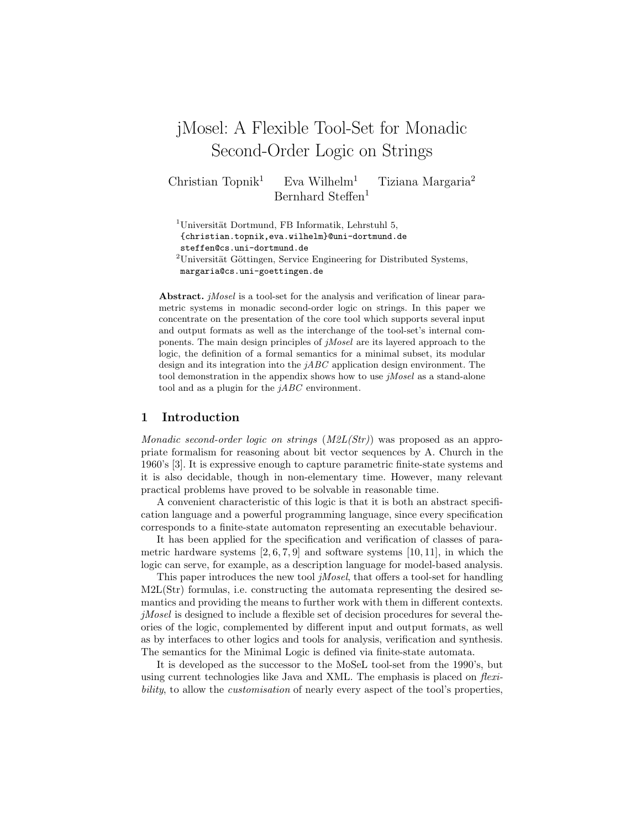# jMosel: A Flexible Tool-Set for Monadic Second-Order Logic on Strings

Christian Topnik<sup>1</sup> Eva Wilhelm<sup>1</sup> Tiziana Margaria<sup>2</sup> Bernhard Steffen<sup>1</sup>

 $1$ Universität Dortmund, FB Informatik, Lehrstuhl 5, {christian.topnik,eva.wilhelm}@uni-dortmund.de steffen@cs.uni-dortmund.de  $2$ Universität Göttingen, Service Engineering for Distributed Systems, margaria@cs.uni-goettingen.de

Abstract. *jMosel* is a tool-set for the analysis and verification of linear parametric systems in monadic second-order logic on strings. In this paper we concentrate on the presentation of the core tool which supports several input and output formats as well as the interchange of the tool-set's internal components. The main design principles of jMosel are its layered approach to the logic, the definition of a formal semantics for a minimal subset, its modular design and its integration into the  $jABC$  application design environment. The tool demonstration in the appendix shows how to use jMosel as a stand-alone tool and as a plugin for the  $iABC$  environment.

## 1 Introduction

Monadic second-order logic on strings  $(M2L(Str))$  was proposed as an appropriate formalism for reasoning about bit vector sequences by A. Church in the 1960's [3]. It is expressive enough to capture parametric finite-state systems and it is also decidable, though in non-elementary time. However, many relevant practical problems have proved to be solvable in reasonable time.

A convenient characteristic of this logic is that it is both an abstract specification language and a powerful programming language, since every specification corresponds to a finite-state automaton representing an executable behaviour.

It has been applied for the specification and verification of classes of parametric hardware systems  $[2, 6, 7, 9]$  and software systems  $[10, 11]$ , in which the logic can serve, for example, as a description language for model-based analysis.

This paper introduces the new tool *jMosel*, that offers a tool-set for handling M2L(Str) formulas, i.e. constructing the automata representing the desired semantics and providing the means to further work with them in different contexts. jMosel is designed to include a flexible set of decision procedures for several theories of the logic, complemented by different input and output formats, as well as by interfaces to other logics and tools for analysis, verification and synthesis. The semantics for the Minimal Logic is defined via finite-state automata.

It is developed as the successor to the MoSeL tool-set from the 1990's, but using current technologies like Java and XML. The emphasis is placed on *flexi*bility, to allow the *customisation* of nearly every aspect of the tool's properties,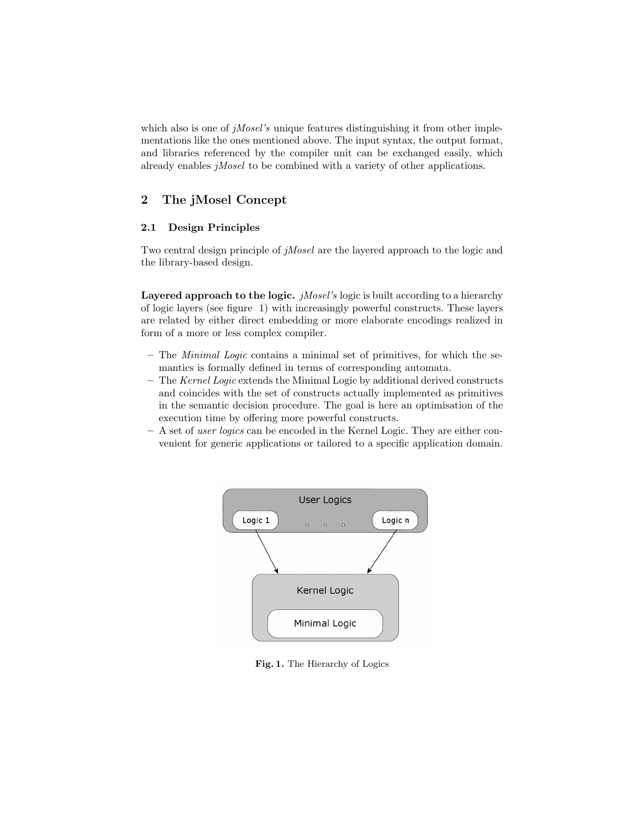which also is one of  $jMosel's$  unique features distinguishing it from other implementations like the ones mentioned above. The input syntax, the output format, and libraries referenced by the compiler unit can be exchanged easily, which already enables jMosel to be combined with a variety of other applications.

# 2 The jMosel Concept

# 2.1 Design Principles

Two central design principle of jMosel are the layered approach to the logic and the library-based design.

**Layered approach to the logic.** *jMosel's* logic is built according to a hierarchy of logic layers (see figure 1) with increasingly powerful constructs. These layers are related by either direct embedding or more elaborate encodings realized in form of a more or less complex compiler.

- The Minimal Logic contains a minimal set of primitives, for which the semantics is formally defined in terms of corresponding automata.
- The Kernel Logic extends the Minimal Logic by additional derived constructs and coincides with the set of constructs actually implemented as primitives in the semantic decision procedure. The goal is here an optimisation of the execution time by offering more powerful constructs.
- A set of user logics can be encoded in the Kernel Logic. They are either convenient for generic applications or tailored to a specific application domain.



Fig. 1. The Hierarchy of Logics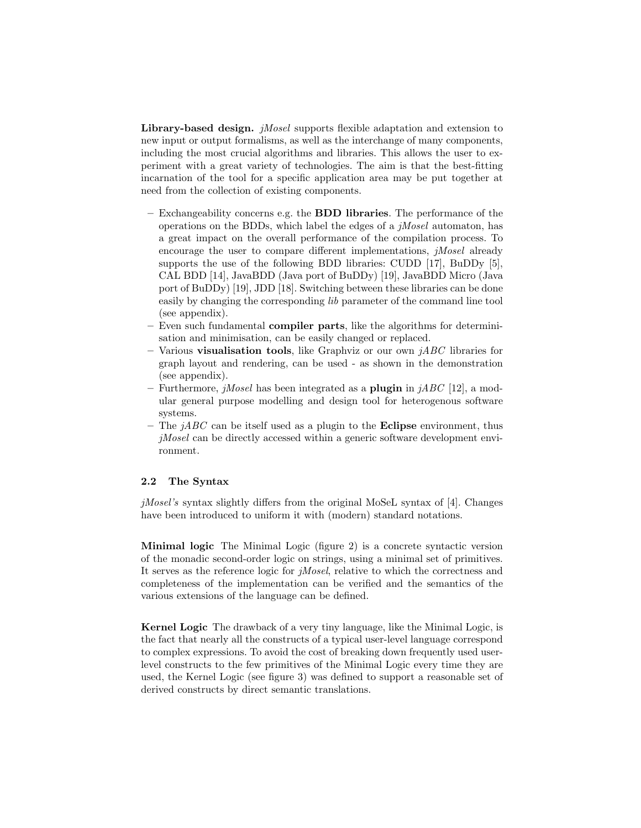Library-based design. *jMosel* supports flexible adaptation and extension to new input or output formalisms, as well as the interchange of many components, including the most crucial algorithms and libraries. This allows the user to experiment with a great variety of technologies. The aim is that the best-fitting incarnation of the tool for a specific application area may be put together at need from the collection of existing components.

- Exchangeability concerns e.g. the **BDD libraries**. The performance of the operations on the BDDs, which label the edges of a  $iMosel$  automaton, has a great impact on the overall performance of the compilation process. To encourage the user to compare different implementations, jMosel already supports the use of the following BDD libraries: CUDD [17], BuDDy [5], CAL BDD [14], JavaBDD (Java port of BuDDy) [19], JavaBDD Micro (Java port of BuDDy) [19], JDD [18]. Switching between these libraries can be done easily by changing the corresponding lib parameter of the command line tool (see appendix).
- Even such fundamental **compiler parts**, like the algorithms for determinisation and minimisation, can be easily changed or replaced.
- Various **visualisation tools**, like Graphviz or our own  $jABC$  libraries for graph layout and rendering, can be used - as shown in the demonstration (see appendix).
- Furthermore, *jMosel* has been integrated as a **plugin** in *jABC* [12], a modular general purpose modelling and design tool for heterogenous software systems.
- The  $iABC$  can be itself used as a plugin to the **Eclipse** environment, thus jMosel can be directly accessed within a generic software development environment.

#### 2.2 The Syntax

 $jMosel's$  syntax slightly differs from the original MoSeL syntax of [4]. Changes have been introduced to uniform it with (modern) standard notations.

Minimal logic The Minimal Logic (figure 2) is a concrete syntactic version of the monadic second-order logic on strings, using a minimal set of primitives. It serves as the reference logic for jMosel, relative to which the correctness and completeness of the implementation can be verified and the semantics of the various extensions of the language can be defined.

Kernel Logic The drawback of a very tiny language, like the Minimal Logic, is the fact that nearly all the constructs of a typical user-level language correspond to complex expressions. To avoid the cost of breaking down frequently used userlevel constructs to the few primitives of the Minimal Logic every time they are used, the Kernel Logic (see figure 3) was defined to support a reasonable set of derived constructs by direct semantic translations.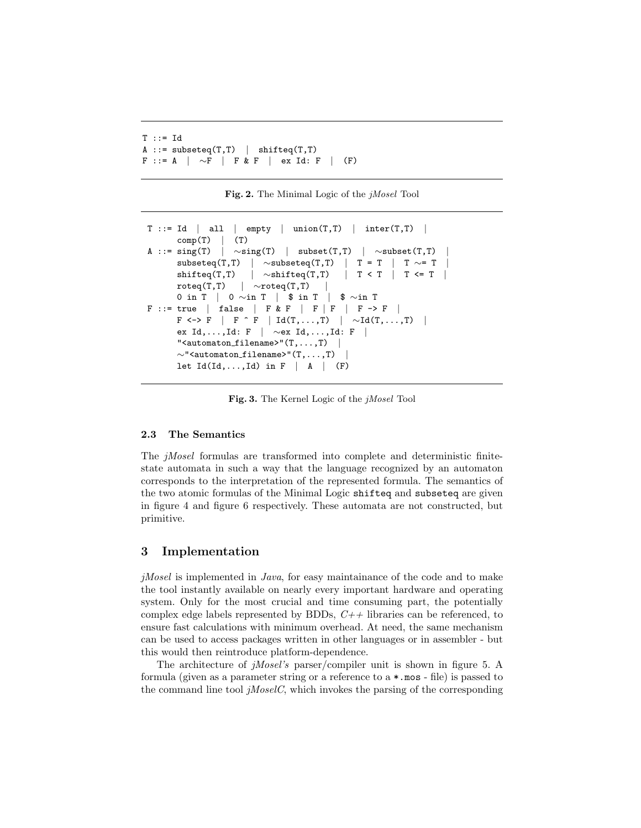```
T :: = IdA ::= subseteq(T,T) | shifteq(T,T)F ::= A | ∼F | F & F | ex Id: F | (F)
```
Fig. 2. The Minimal Logic of the jMosel Tool

```
T ::= Id | all | empty | union(T,T) | inter(T,T) |
      comp(T) (T)
A ::= sing(T) | \simsing(T) | subset(T,T) | \simsubset(T,T)
      subseteq(T,T) | \simsubseteq(T,T) | T = T | T \sim= T
      shifteq(T,T) | \simshifteq(T,T) | T < T | T <= T |
      roteq(T,T) | \simroteq(T,T)
      0 in T | 0 \simin T | $ in T | $ \simin T
F ::= true | false | F & F | F | F | F -> F
      F \iff F \mid F \uparrow F \mid Id(T, \ldots, T) \mid \sim Id(T, \ldots, T) \midex Id,...,Id: F | ∼ex Id,...,Id: F |
      "<automaton_filename>"(T, \ldots, T) |
      \sim"<automaton_filename>"(T,...,T)
      let Id(Id,...,Id) in F \mid A \mid (F)
```
Fig. 3. The Kernel Logic of the jMosel Tool

#### 2.3 The Semantics

The jMosel formulas are transformed into complete and deterministic finitestate automata in such a way that the language recognized by an automaton corresponds to the interpretation of the represented formula. The semantics of the two atomic formulas of the Minimal Logic shifteq and subseteq are given in figure 4 and figure 6 respectively. These automata are not constructed, but primitive.

# 3 Implementation

*jMosel* is implemented in *Java*, for easy maintainance of the code and to make the tool instantly available on nearly every important hardware and operating system. Only for the most crucial and time consuming part, the potentially complex edge labels represented by BDDs,  $C++$  libraries can be referenced, to ensure fast calculations with minimum overhead. At need, the same mechanism can be used to access packages written in other languages or in assembler - but this would then reintroduce platform-dependence.

The architecture of jMosel's parser/compiler unit is shown in figure 5. A formula (given as a parameter string or a reference to a \*.mos - file) is passed to the command line tool  $jMoseIC$ , which invokes the parsing of the corresponding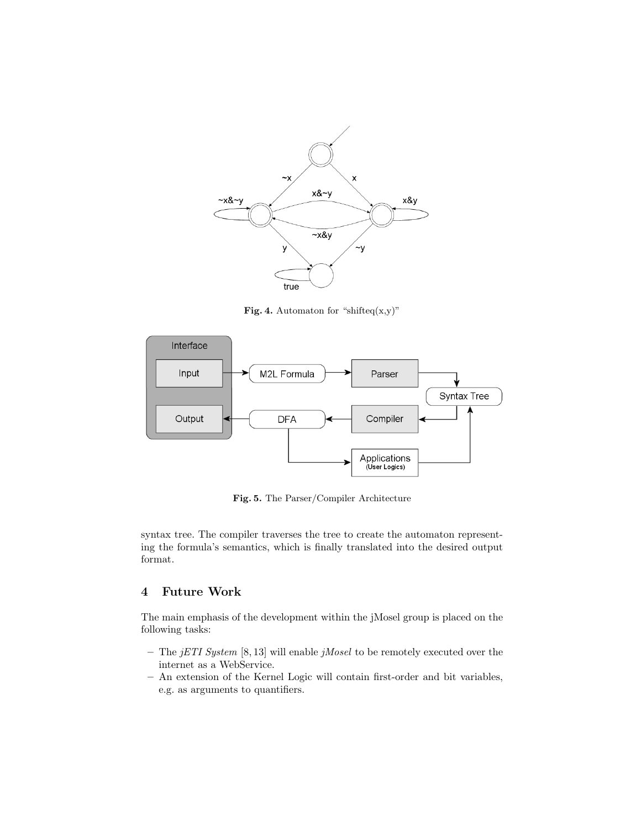

Fig. 4. Automaton for "shifteq(x,y)"



Fig. 5. The Parser/Compiler Architecture

syntax tree. The compiler traverses the tree to create the automaton representing the formula's semantics, which is finally translated into the desired output format.

# 4 Future Work

The main emphasis of the development within the jMosel group is placed on the following tasks:

- The  $jETI System [8, 13]$  will enable  $jMosel$  to be remotely executed over the internet as a WebService.
- An extension of the Kernel Logic will contain first-order and bit variables, e.g. as arguments to quantifiers.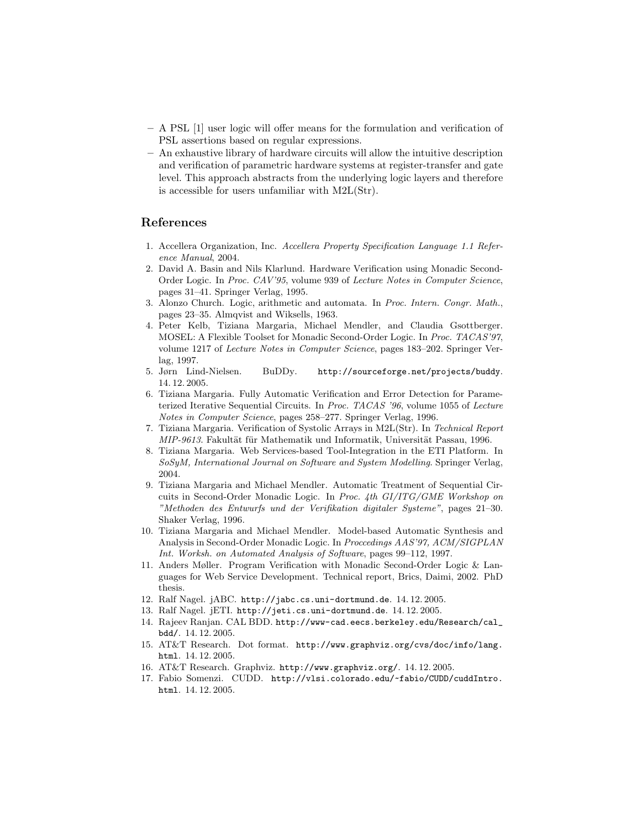- A PSL [1] user logic will offer means for the formulation and verification of PSL assertions based on regular expressions.
- An exhaustive library of hardware circuits will allow the intuitive description and verification of parametric hardware systems at register-transfer and gate level. This approach abstracts from the underlying logic layers and therefore is accessible for users unfamiliar with M2L(Str).

## References

- 1. Accellera Organization, Inc. Accellera Property Specification Language 1.1 Reference Manual, 2004.
- 2. David A. Basin and Nils Klarlund. Hardware Verification using Monadic Second-Order Logic. In Proc. CAV'95, volume 939 of Lecture Notes in Computer Science, pages 31–41. Springer Verlag, 1995.
- 3. Alonzo Church. Logic, arithmetic and automata. In Proc. Intern. Congr. Math., pages 23–35. Almqvist and Wiksells, 1963.
- 4. Peter Kelb, Tiziana Margaria, Michael Mendler, and Claudia Gsottberger. MOSEL: A Flexible Toolset for Monadic Second-Order Logic. In Proc. TACAS'97, volume 1217 of Lecture Notes in Computer Science, pages 183–202. Springer Verlag, 1997.
- 5. Jørn Lind-Nielsen. BuDDy. http://sourceforge.net/projects/buddy. 14. 12. 2005.
- 6. Tiziana Margaria. Fully Automatic Verification and Error Detection for Parameterized Iterative Sequential Circuits. In Proc. TACAS '96, volume 1055 of Lecture Notes in Computer Science, pages 258–277. Springer Verlag, 1996.
- 7. Tiziana Margaria. Verification of Systolic Arrays in M2L(Str). In Technical Report MIP-9613. Fakultät für Mathematik und Informatik, Universität Passau, 1996.
- 8. Tiziana Margaria. Web Services-based Tool-Integration in the ETI Platform. In SoSyM, International Journal on Software and System Modelling. Springer Verlag, 2004.
- 9. Tiziana Margaria and Michael Mendler. Automatic Treatment of Sequential Circuits in Second-Order Monadic Logic. In Proc. 4th GI/ITG/GME Workshop on "Methoden des Entwurfs und der Verifikation digitaler Systeme", pages 21–30. Shaker Verlag, 1996.
- 10. Tiziana Margaria and Michael Mendler. Model-based Automatic Synthesis and Analysis in Second-Order Monadic Logic. In Proccedings AAS'97, ACM/SIGPLAN Int. Worksh. on Automated Analysis of Software, pages 99–112, 1997.
- 11. Anders Møller. Program Verification with Monadic Second-Order Logic & Languages for Web Service Development. Technical report, Brics, Daimi, 2002. PhD thesis.
- 12. Ralf Nagel. jABC. http://jabc.cs.uni-dortmund.de. 14. 12. 2005.
- 13. Ralf Nagel. jETI. http://jeti.cs.uni-dortmund.de. 14. 12. 2005.
- 14. Rajeev Ranjan. CAL BDD. http://www-cad.eecs.berkeley.edu/Research/cal\_ bdd/. 14. 12. 2005.
- 15. AT&T Research. Dot format. http://www.graphviz.org/cvs/doc/info/lang. html. 14. 12. 2005.
- 16. AT&T Research. Graphviz. http://www.graphviz.org/. 14. 12. 2005.
- 17. Fabio Somenzi. CUDD. http://vlsi.colorado.edu/~fabio/CUDD/cuddIntro. html. 14. 12. 2005.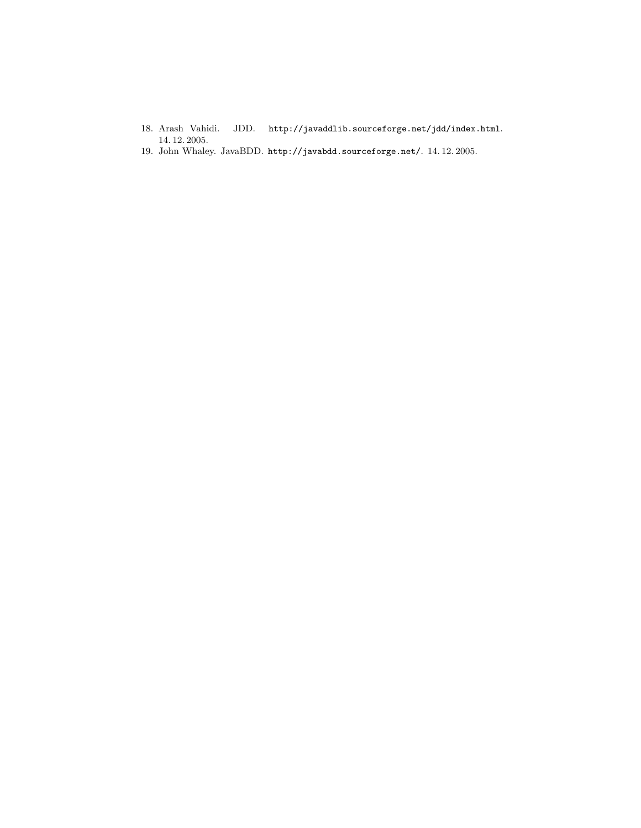- 18. Arash Vahidi. JDD. http://javaddlib.sourceforge.net/jdd/index.html. 14. 12. 2005.
- 19. John Whaley. JavaBDD. http://javabdd.sourceforge.net/. 14. 12. 2005.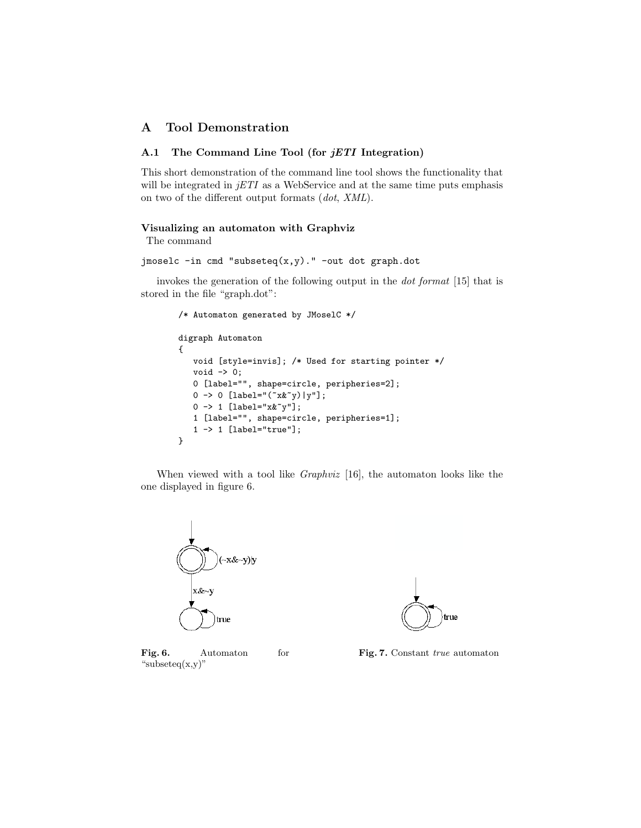# A Tool Demonstration

## A.1 The Command Line Tool (for *jETI* Integration)

This short demonstration of the command line tool shows the functionality that will be integrated in  $jETI$  as a WebService and at the same time puts emphasis on two of the different output formats (dot, XML).

#### Visualizing an automaton with Graphviz

The command

jmoselc -in cmd "subseteq(x,y)." -out dot graph.dot

invokes the generation of the following output in the dot format [15] that is stored in the file "graph.dot":

```
/* Automaton generated by JMoselC */
digraph Automaton
{
   void [style=invis]; /* Used for starting pointer */
   void -> 0;
   0 [label="", shape=circle, peripheries=2];
   0 -> 0 [label="('x&y)|y"];
   0 \rightarrow 1 [label="x x^{\sim}y"];
   1 [label="", shape=circle, peripheries=1];
   1 -> 1 [label="true"];
}
```
When viewed with a tool like Graphviz [16], the automaton looks like the one displayed in figure 6.



Fig. 6. Automaton for "subseteq $(x,y)$ "



Fig. 7. Constant true automaton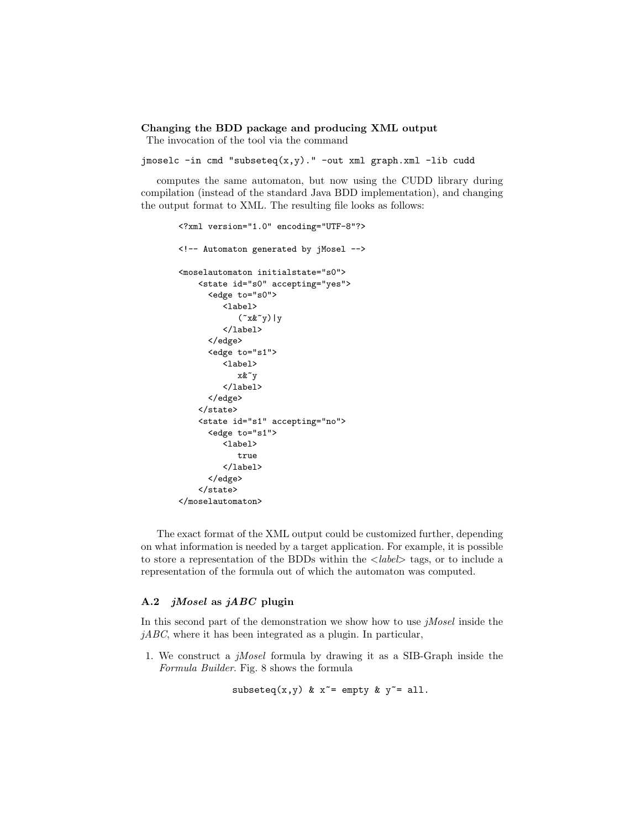### Changing the BDD package and producing XML output

The invocation of the tool via the command

jmoselc -in cmd "subseteq(x,y)." -out xml graph.xml -lib cudd

computes the same automaton, but now using the CUDD library during compilation (instead of the standard Java BDD implementation), and changing the output format to XML. The resulting file looks as follows:

```
<?xml version="1.0" encoding="UTF-8"?>
<!-- Automaton generated by jMosel -->
<moselautomaton initialstate="s0">
    <state id="s0" accepting="yes">
      <edge to="s0">
         <label>
             (\gamma x \& \gamma) | y</label>
      </edge>
      <edge to="s1">
         <label>
             x&~y
         </label>
      </edge>
    </state>
    <state id="s1" accepting="no">
      <edge to="s1">
         <label>
             true
         </label>
      </edge>
    </state>
</moselautomaton>
```
The exact format of the XML output could be customized further, depending on what information is needed by a target application. For example, it is possible to store a representation of the BDDs within the  $\langle label \rangle$  tags, or to include a representation of the formula out of which the automaton was computed.

## A.2 jMosel as jABC plugin

In this second part of the demonstration we show how to use *jMosel* inside the  $jABC$ , where it has been integrated as a plugin. In particular,

1. We construct a jMosel formula by drawing it as a SIB-Graph inside the Formula Builder. Fig. 8 shows the formula

subseteq(x,y) &  $x^*$  = empty &  $y^*$  = all.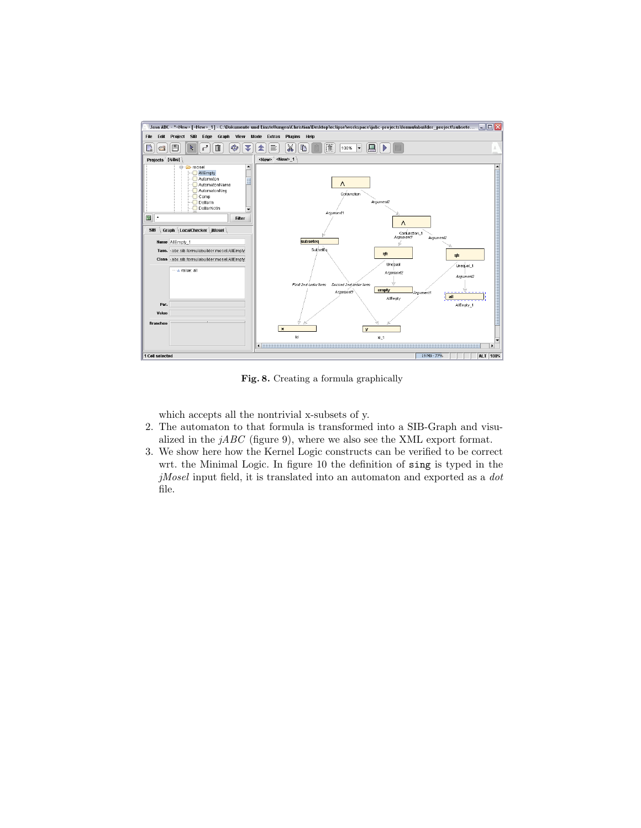

Fig. 8. Creating a formula graphically

which accepts all the nontrivial x-subsets of y.

- 2. The automaton to that formula is transformed into a SIB-Graph and visualized in the  $jABC$  (figure 9), where we also see the XML export format.
- 3. We show here how the Kernel Logic constructs can be verified to be correct wrt. the Minimal Logic. In figure 10 the definition of sing is typed in the  $j\textit{Mosel}$  input field, it is translated into an automaton and exported as a  $dot$ file.